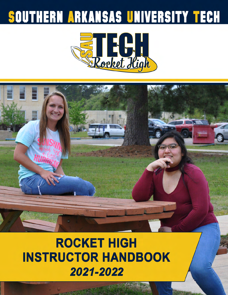# SOUTHERN ARKANSAS UNIVERSITY TECH



# **ROCKET HIGH INSTRUCTOR HANDBOOK** 2021-2022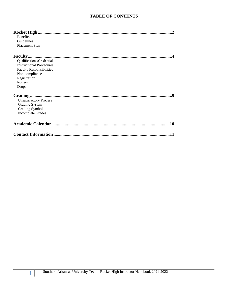#### **TABLE OF CONTENTS**

| <b>Benefits</b>                 |
|---------------------------------|
| Guidelines                      |
| Placement Plan                  |
|                                 |
|                                 |
| Qualifications/Credentials      |
| <b>Instructional Procedures</b> |
| <b>Faculty Responsibilities</b> |
| Non-compliance                  |
| Registration                    |
| <b>Rosters</b>                  |
| Drops                           |
| <b>Q</b>                        |
| <b>Unsatisfactory Process</b>   |
| <b>Grading System</b>           |
| <b>Grading Symbols</b>          |
| <b>Incomplete Grades</b>        |
| 10                              |
|                                 |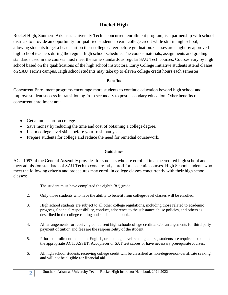# **Rocket High**

Rocket High, Southern Arkansas University Tech's concurrent enrollment program, is a partnership with school districts to provide an opportunity for qualified students to earn college credit while still in high school, allowing students to get a head start on their college career before graduation. Classes are taught by approved high school teachers during the regular high school schedule. The course materials, assignments and grading standards used in the courses must meet the same standards as regular SAU Tech courses. Courses vary by high school based on the qualifications of the high school instructors. Early College Initiative students attend classes on SAU Tech's campus. High school students may take up to eleven college credit hours each semester.

#### **Benefits**

Concurrent Enrollment programs encourage more students to continue education beyond high school and improve student success in transitioning from secondary to post-secondary education. Other benefits of concurrent enrollment are:

- Get a jump start on college.
- Save money by reducing the time and cost of obtaining a college degree.
- Learn college level skills before your freshman year.
- Prepare students for college and reduce the need for remedial coursework.

#### **Guidelines**

ACT 1097 of the General Assembly provides for students who are enrolled in an accredited high school and meet admission standards of SAU Tech to concurrently enroll for academic courses. High School students who meet the following criteria and procedures may enroll in college classes concurrently with their high school classes:

- 1. The student must have completed the eighth  $(8<sup>th</sup>)$  grade.
- 2. Only those students who have the ability to benefit from college-level classes will be enrolled.
- 3. High school students are subject to all other college regulations, including those related to academic progress, financial responsibility, conduct, adherence to the substance abuse policies, and others as described in the college catalog and student handbook.
- 4. All arrangements for receiving concurrent high school/college credit and/or arrangements for third party payment of tuition and fees are the responsibility of the student.
- 5. Prior to enrollment in a math, English, or a college level reading course, students are required to submit the appropriate ACT, ASSET, Accuplacer or SAT test scores or have necessary prerequisite courses.
- 6. All high school students receiving college credit will be classified as non-degree/non-certificate seeking and will not be eligible for financial aid.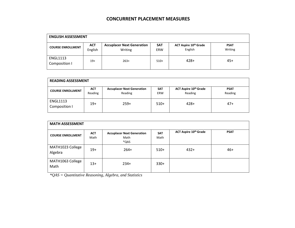# **CONCURRENT PLACEMENT MEASURES**

| <b>ENGLISH ASSESSMENT</b>        |                       |                                              |                   |                                  |                        |
|----------------------------------|-----------------------|----------------------------------------------|-------------------|----------------------------------|------------------------|
| <b>COURSE ENROLLMENT</b>         | <b>ACT</b><br>English | <b>Accuplacer Next Generation</b><br>Writing | <b>SAT</b><br>ERW | ACT Aspire 10th Grade<br>English | <b>PSAT</b><br>Writing |
| <b>ENGL1113</b><br>Composition I | $19+$                 | $263+$                                       | $510+$            | $428+$                           | $45+$                  |

| <b>READING ASSESSMENT</b>        |                       |                                              |                          |                                              |                        |
|----------------------------------|-----------------------|----------------------------------------------|--------------------------|----------------------------------------------|------------------------|
| <b>COURSE ENROLLMENT</b>         | <b>ACT</b><br>Reading | <b>Accuplacer Next Generation</b><br>Reading | <b>SAT</b><br><b>ERW</b> | ACT Aspire 10 <sup>th</sup> Grade<br>Reading | <b>PSAT</b><br>Reading |
| <b>ENGL1113</b><br>Composition I | $19+$                 | $259+$                                       | $510+$                   | $428+$                                       | $47+$                  |

| <b>MATH ASSESSMENT</b>      |                    |                                                   |                    |                              |             |
|-----------------------------|--------------------|---------------------------------------------------|--------------------|------------------------------|-------------|
| <b>COURSE ENROLLMENT</b>    | <b>ACT</b><br>Math | <b>Accuplacer Next Generation</b><br>Math<br>*QAS | <b>SAT</b><br>Math | <b>ACT Aspire 10th Grade</b> | <b>PSAT</b> |
| MATH1023 College<br>Algebra | $19+$              | $264+$                                            | $510+$             | $432+$                       | $46+$       |
| MATH1063 College<br>Math    | $13+$              | $234+$                                            | $330+$             |                              |             |

*\*QAS = Quantitative Reasoning, Algebra, and Statistics*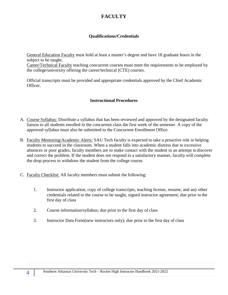# **FACULTY**

## **Qualifications/Credentials**

General Education Faculty must hold at least a master's degree and have 18 graduate hours in the subject to be taught.

Career/Technical Faculty teaching concurrent courses must meet the requirements to be employed by the college/university offering the career/technical (CTE) courses.

Official transcripts must be provided and appropriate credentials approved by the Chief Academic Officer.

### **Instructional Procedures**

- A. Course Syllabus: Distribute a syllabus that has been reviewed and approved by the designated faculty liaison to all students enrolled in the concurrent class the first week of the semester. A copy of the approved syllabus must also be submitted to the Concurrent Enrollment Office.
- B. Faculty Mentoring/Academic Alerts: SAU Tech faculty is expected to take a proactive role in helping students to succeed in the classroom. When a student falls into academic distress due to excessive absences or poor grades, faculty members are to make contact with the student in an attempt to discover and correct the problem. If the student does not respond in a satisfactory manner, faculty will complete the drop process to withdraw the student from the college course.
- C. Faculty Checklist: All faculty members must submit the following:
	- 1. Instructor application, copy of college transcripts, teaching license, resume, and any other credentials related to the course to be taught, signed instructor agreement; due prior to the first day of class
	- 2. Course information/syllabus; due prior to the first day of class
	- 3. Instructor Data Form(new instructors only); due prior to the first day of class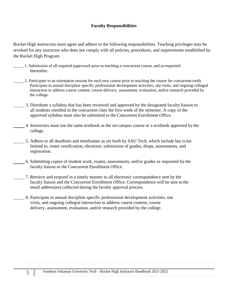### **Faculty Responsibilities**

Rocket High instructors must agree and adhere to the following responsibilities. Teaching privileges may be revoked for any instructor who does not comply with all policies, procedures, and requirements established by the Rocket High Program.

- 1. Submission of all required paperwork prior to teaching a concurrent course, and as requested thereafter.
- 2. Participate in an orientation session for each new course prior to teaching the course for concurrent credit. Participate in annual discipline specific professional development activities, site visits, and ongoing collegial interaction to address course content, course delivery, assessment, evaluation, and/or research provided by the college.
- 3. Distribute a syllabus that has been reviewed and approved by the designated faculty liaison to all students enrolled in the concurrent class the first week of the semester. A copy of the approved syllabus must also be submitted to the Concurrent Enrollment Office.
- 4. Instructors must use the same textbook as the on-campus course or a textbook approved by the college.
- 5. Adhere to all deadlines and timeframes as set forth by SAU Tech, which include but is not limited to, roster certification, electronic submission of grades, drops, assessments, and registration.
- 6. Submitting copies of student work, exams, assessments, and/or grades as requested by the faculty liaison or the Concurrent Enrollment Office.
- 7. Retrieve and respond in a timely manner to all electronic correspondence sent by the faculty liaison and the Concurrent Enrollment Office. Correspondence will be sent to the email address(es) collected during the faculty approval process.
- 8. Participate in annual discipline specific professional development activities, site visits, and ongoing collegial interaction to address course content, course delivery, assessment, evaluation, and/or research provided by the college.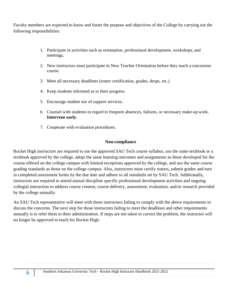Faculty members are expected to know and foster the purpose and objectives of the College by carrying out the following responsibilities:

- 1. Participate in activities such as orientation, professional development, workshops, and meetings.
- 2. New instructors must participate in New Teacher Orientation before they teach a concurrent course.
- 3. Meet all necessary deadlines (roster certification, grades, drops, etc.)
- 4. Keep students informed as to their progress.
- 5. Encourage student use of support services.
- 6. Counsel with students in regard to frequent absences, failures, or necessary make-up work. **Intervene early.**
- 7. Cooperate with evaluation procedures.

#### **Non-compliance**

Rocket High instructors are required to use the approved SAU Tech course syllabus, use the same textbook or a textbook approved by the college, adopt the same learning outcomes and assignments as those developed for the course offered on the college campus with limited exceptions approved by the college, and use the same course grading standards as those on the college campus. Also, instructors must certify rosters, submit grades and turn in completed assessment forms by the due date and adhere to all standards set by SAU Tech. Additionally, instructors are required to attend annual discipline specific professional development activities and ongoing collegial interaction to address course content, course delivery, assessment, evaluation, and/or research provided by the college annually.

An SAU Tech representative will meet with those instructors failing to comply with the above requirements to discuss the concerns. The next step for those instructors failing to meet the deadlines and other requirements annually is to refer them to their administration. If steps are not taken to correct the problem, the instructor will no longer be approved to teach for Rocket High.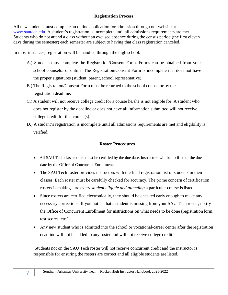### **Registration Process**

All new students must complete an online application for admission through our website at [www.sautech.edu.](http://www.sautech.edu/) A student's registration is incomplete until all admissions requirements are met. Students who do not attend a class without an excused absence during the census period (the first eleven days during the semester) each semester are subject to having that class registration canceled.

In most instances, registration will be handled through the high school.

- A.) Students must complete the Registration/Consent Form. Forms can be obtained from your school counselor or online. The Registration/Consent Form is incomplete if it does not have the proper signatures (student, parent, school representative).
- B.) The Registration/Consent Form must be returned to the school counselor by the registration deadline.
- C.) A student will not receive college credit for a course he/she is not eligible for. A student who does not register by the deadline or does not have all information submitted will not receive college credit for that course(s).
- D.) A student's registration is incomplete until all admissions requirements are met and eligibility is verified.

## **Roster Procedures**

- All SAU Tech class rosters must be certified by the due date. Instructors will be notified of the due date by the Office of Concurrent Enrollment.
- The SAU Tech roster provides instructors with the final registration list of students in their classes. Each roster must be carefully checked for accuracy. The prime concern of certification rosters is making sure every *student eligible and attending* a particular course islisted.
- Since rosters are certified electronically, they should be checked early enough to make any necessary corrections. If you notice that a student is missing from your SAU Tech roster, notify the Office of Concurrent Enrollment for instructions on what needs to be done (registration form, test scores, etc.)
- Any new student who is admitted into the school or vocational/career center after the registration deadline will not be added to any roster and will not receive college credit

Students not on the SAU Tech roster will not receive concurrent credit and the instructor is responsible for ensuring the rosters are correct and all eligible students are listed.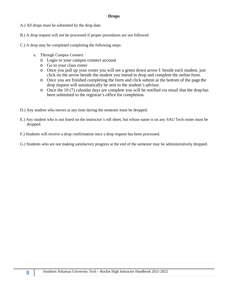#### **Drops**

- A.) All drops must be submitted by the drop date.
- B.) A drop request will not be processed if proper procedures are not followed.
- C.) A drop may be completed completing the following steps:
	- a. Through Campus Connect
		- o Login to your campus connect account
		- o Go to your class roster
		- $\circ$  Once you pull up your roster you will see a green down arrow  $\downarrow$  beside each student, just click on the arrow beside the student you intend to drop and complete the online form.
		- o Once you are finished completing the form and click submit at the bottom of the page the drop request will automatically be sent to the student's advisor.
		- o Once the 10 (7) calendar days are complete you will be notified via email that the drop has been submitted to the registrar's office for completion.
- D.) Any student who moves at any time during the semester must be dropped.
- E.) Any student who is not listed on the instructor's roll sheet, but whose name is on any SAU Tech roster must be dropped.
- F.) Students will receive a drop confirmation once a drop request has been processed.
- G.) Students who are not making satisfactory progress at the end of the semester may be administratively dropped.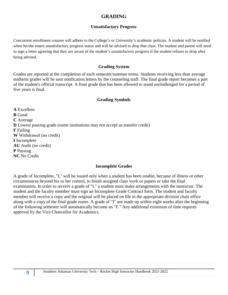# **GRADING**

### **Unsatisfactory Progress**

Concurrent enrollment courses will adhere to the College's or University's academic policies. A student will be notified when he/she enters unsatisfactory progress status and will be advised to drop that class. The student and parent will need to sign a letter agreeing that they are aware of the student's unsatisfactory progress if the student refuses to drop after being advised.

#### **Grading System**

Grades are reported at the completion of each semester/summer terms. Students receiving less than average midterm grades will be sent notification letters by the counseling staff. The final grade report becomes a part of the student's official transcript. A final grade that has been allowed to stand unchallenged for a period of five years is final.

#### **Grading Symbols**

**A** Excellent **B** Good **C** Average **D** Lowest passing grade (some institutions may not accept as transfer credit) **F** Failing **W** Withdrawal (no credit) **I** Incomplete **AU** Audit (no credit) **P** Passing **NC** No Credit

#### **Incomplete Grades**

A grade of Incomplete, "I," will be issued only when a student has been unable, because of illness or other circumstances beyond his or her control, to finish assigned class work or papers or take the final examination. In order to receive a grade of "I," a student must make arrangements with the instructor. The student and the faculty member must sign an Incomplete Grade Contract form. The student and faculty member will receive a copy and the original will be placed on file in the appropriate division chair office along with a copy of the final grade roster. A grade of "I" not made up within eight weeks after the beginning of the following semester will automatically become an "F." Any additional extension of time requires approval by the Vice Chancellor for Academics.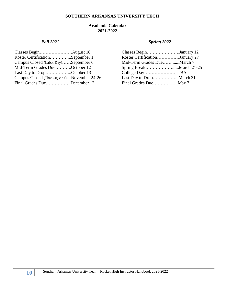#### **SOUTHERN ARKANSAS UNIVERSITY TECH**

#### **Academic Calendar 2021-2022**

|                                            | Classes BeginJanuary 12        |  |
|--------------------------------------------|--------------------------------|--|
| Roster CertificationSeptember 1            | Roster CertificationJanuary 27 |  |
| Campus Closed (Labor Day)September 6       | Mid-Term Grades DueMarch 7     |  |
| Mid-Term Grades DueOctober 12              |                                |  |
| Last Day to DropOctober 13                 | College DayTBA                 |  |
| Campus Closed (Thanksgiving)November 24-26 |                                |  |
| Final Grades DueDecember 12                |                                |  |

## *Fall 2021 Spring 2022*

| Classes BeginJanuary 12        |  |
|--------------------------------|--|
| Roster CertificationJanuary 27 |  |
| Mid-Term Grades DueMarch 7     |  |
|                                |  |
| College DayTBA                 |  |
| Last Day to DropMarch 31       |  |
| Final Grades DueMay 7          |  |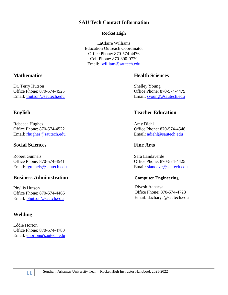# **SAU Tech Contact Information**

### **Rocket High**

LaClaire Williams Education Outreach Coordinator Office Phone: 870-574-4476 Cell [Phone: 870-390-0729](mailto:lwilliam@sautech.edu) Email: [lwilliam@sautech.edu](mailto:lwilliam@sautech.edu)

# <span id="page-11-0"></span>**Mathematics Health Sciences**

Office [Phone: 870-574-4525](mailto:thutson@sautech.edu) Office Phone: 870-574-4475 Email: [thutson@sautech.edu](mailto:thutson@sautech.edu) Email: [syoung@sautech.edu](mailto:syoung@sautech.edu)

# **English Teacher Education**

Email: [rgunnels@sautech.edu](mailto:rgunnels@sautech.edu) Email: [slandave@sautech.edu](mailto:slandave@sautech.edu)

#### **Computer Engineering**

Divesh Acharya Office Phone: 870-574-4723 Email: [dacharya@sautech.edu](mailto:dacharya@sautech.edu)

Dr. Terry Hutson Shelley Young

Rebecca Hughes Amy Diehl Office Phone: 870-574-4522 Office Phone: 870-574-4548 Email: [rhughes@sautech.edu](mailto:rhughes@sautech.edu) Email: [adiehl@sautech.edu](mailto:adiehl@sautech.edu)

## **Social Sciences Fine Arts**

Robert Gunnels **Sara Landaverde** Office Phone: 870-574-4541 Office Phone: 870-574-4425

# **Business Administration**

Phyllis Hutson Office Phone: 870-574-4466 Email: [phutson@sautch.edu](mailto:phutson@sautch.edu)

# **Welding**

Eddie Horton Office Phone: 870-574-4780 Email: [ehorton@sautech.edu](mailto:ehorton@sautech.edu)